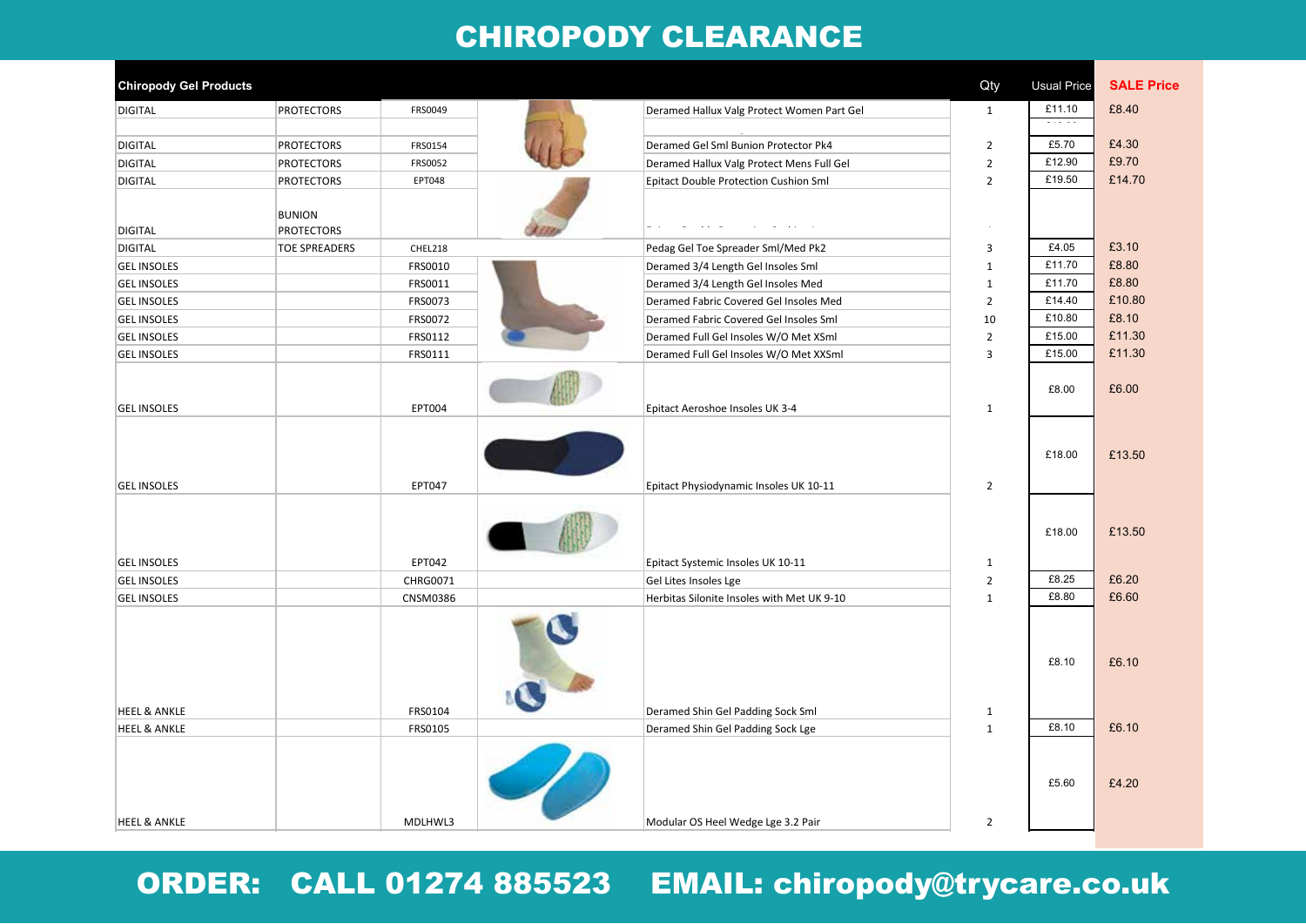#### **Chiropody Clearance Sale List - March 2022** 01/0 CHIROPODY CLEARANCE

| <b>Chiropody Gel Products</b> |                                    |          |                                            | Qty            | <b>Usual Price</b>      | <b>SALE Price</b> |
|-------------------------------|------------------------------------|----------|--------------------------------------------|----------------|-------------------------|-------------------|
| <b>DIGITAL</b>                | <b>PROTECTORS</b>                  | FRS0049  | Deramed Hallux Valg Protect Women Part Gel | $\mathbf{1}$   | £11.10<br>$\frac{1}{2}$ | £8.40             |
| <b>DIGITAL</b>                | <b>PROTECTORS</b>                  | FRS0154  | Deramed Gel Sml Bunion Protector Pk4       | $\overline{2}$ | £5.70                   | £4.30             |
| <b>DIGITAL</b>                | <b>PROTECTORS</b>                  | FRS0052  | Deramed Hallux Valg Protect Mens Full Gel  | $\overline{2}$ | £12.90                  | £9.70             |
| <b>DIGITAL</b>                | <b>PROTECTORS</b>                  | EPT048   | Epitact Double Protection Cushion Sml      | $\overline{2}$ | £19.50                  | £14.70            |
| <b>DIGITAL</b>                | <b>BUNION</b><br><b>PROTECTORS</b> |          |                                            |                |                         |                   |
| <b>DIGITAL</b>                | <b>TOE SPREADERS</b>               | CHEL218  | Pedag Gel Toe Spreader Sml/Med Pk2         | $\overline{3}$ | £4.05                   | £3.10             |
| <b>GEL INSOLES</b>            |                                    | FRS0010  | Deramed 3/4 Length Gel Insoles Sml         | $\mathbf{1}$   | £11.70                  | £8.80             |
| <b>GEL INSOLES</b>            |                                    | FRS0011  | Deramed 3/4 Length Gel Insoles Med         | $\mathbf{1}$   | £11.70                  | £8.80             |
| <b>GEL INSOLES</b>            |                                    | FRS0073  | Deramed Fabric Covered Gel Insoles Med     | $\overline{2}$ | £14.40                  | £10.80            |
| <b>GEL INSOLES</b>            |                                    | FRS0072  | Deramed Fabric Covered Gel Insoles Sml     | 10             | £10.80                  | £8.10             |
| <b>GEL INSOLES</b>            |                                    | FRS0112  | Deramed Full Gel Insoles W/O Met XSml      | $\overline{2}$ | £15.00                  | £11.30            |
| <b>GEL INSOLES</b>            |                                    | FRS0111  | Deramed Full Gel Insoles W/O Met XXSml     | $\overline{3}$ | £15.00                  | £11.30            |
| <b>GEL INSOLES</b>            |                                    | EPT004   | Epitact Aeroshoe Insoles UK 3-4            | $\mathbf{1}$   | £8.00                   | £6.00             |
| <b>GEL INSOLES</b>            |                                    | EPT047   | Epitact Physiodynamic Insoles UK 10-11     | $\overline{2}$ | £18.00                  | £13.50            |
| <b>GEL INSOLES</b>            |                                    | EPT042   | Epitact Systemic Insoles UK 10-11          | $\mathbf{1}$   | £18.00                  | £13.50            |
| <b>GEL INSOLES</b>            |                                    | CHRG0071 | Gel Lites Insoles Lge                      | $\overline{2}$ | £8.25                   | £6.20             |
| <b>GEL INSOLES</b>            |                                    | CNSM0386 | Herbitas Silonite Insoles with Met UK 9-10 | $\mathbf{1}$   | £8.80                   | £6.60             |
|                               |                                    |          |                                            |                | £8.10                   | £6.10             |
| <b>HEEL &amp; ANKLE</b>       |                                    | FRS0104  | Deramed Shin Gel Padding Sock Sml          | $\mathbf{1}$   |                         |                   |
| <b>HEEL &amp; ANKLE</b>       |                                    | FRS0105  | Deramed Shin Gel Padding Sock Lge          | $\mathbf{1}$   | £8.10                   | £6.10             |
|                               |                                    |          |                                            |                | £5.60                   | £4.20             |
| <b>HEEL &amp; ANKLE</b>       |                                    | MDLHWL3  | Modular OS Heel Wedge Lge 3.2 Pair         | $\overline{2}$ |                         |                   |
|                               |                                    |          |                                            |                |                         |                   |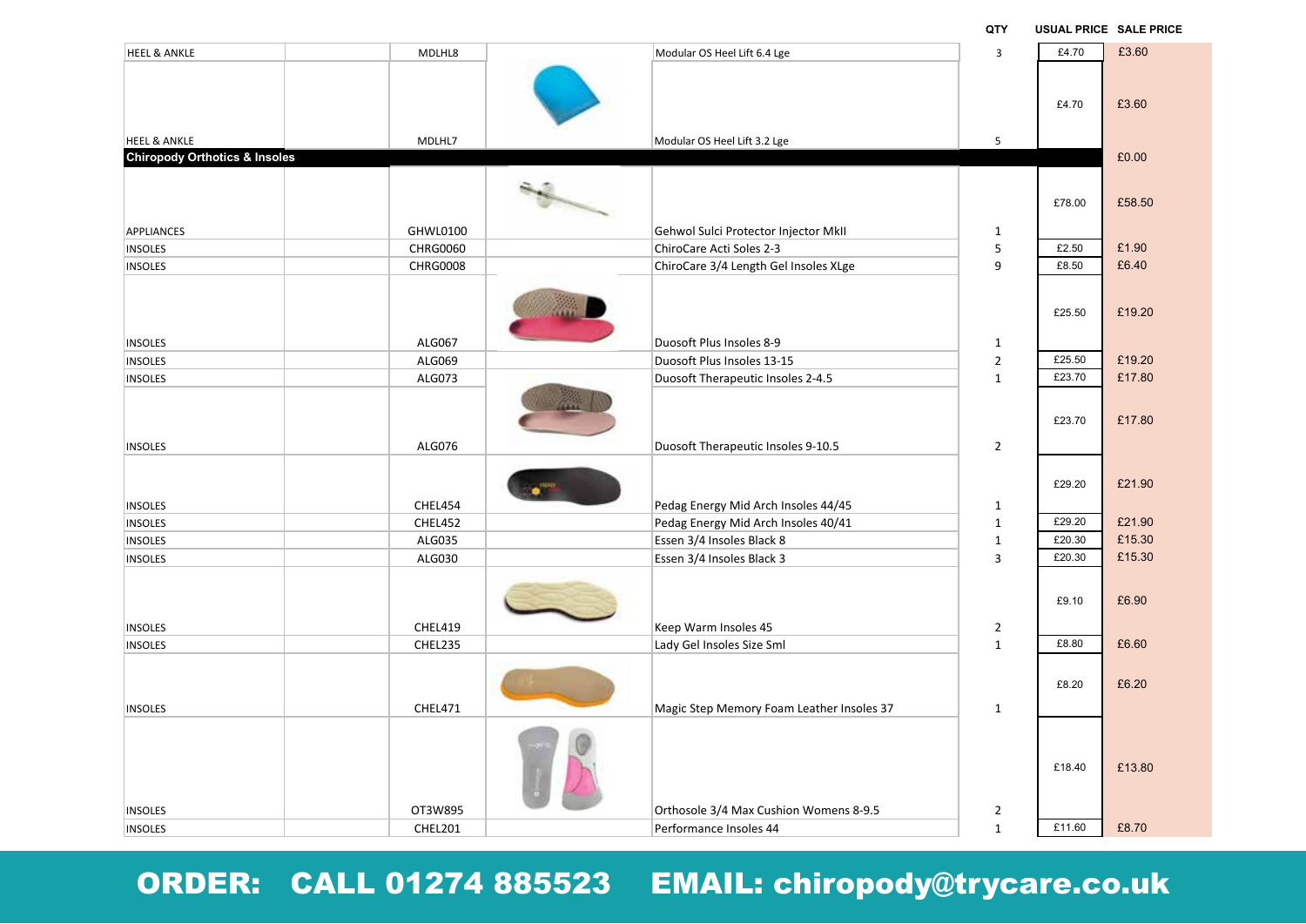| <b>HEEL &amp; ANKLE</b>       | MDLHL8          | Modular OS Heel Lift 6.4 Lge              | $\overline{3}$    | £4.70            | £3.60  |
|-------------------------------|-----------------|-------------------------------------------|-------------------|------------------|--------|
|                               |                 |                                           |                   |                  |        |
|                               |                 |                                           |                   |                  |        |
|                               |                 |                                           |                   | £4.70            | £3.60  |
|                               |                 |                                           |                   |                  |        |
| <b>HEEL &amp; ANKLE</b>       | MDLHL7          | Modular OS Heel Lift 3.2 Lge              | 5                 |                  |        |
| Chiropody Orthotics & Insoles |                 |                                           |                   |                  | £0.00  |
|                               |                 |                                           |                   |                  |        |
|                               |                 |                                           |                   | £78.00           | £58.50 |
|                               |                 |                                           |                   |                  |        |
| <b>APPLIANCES</b>             | GHWL0100        | Gehwol Sulci Protector Injector MkII      | $\mathbf{1}$<br>5 | £2.50            | £1.90  |
| <b>INSOLES</b>                | <b>CHRG0060</b> | ChiroCare Acti Soles 2-3                  | 9                 | £8.50            | £6.40  |
| <b>INSOLES</b>                | <b>CHRG0008</b> | ChiroCare 3/4 Length Gel Insoles XLge     |                   |                  |        |
|                               |                 |                                           |                   |                  |        |
|                               |                 |                                           |                   | £25.50           | £19.20 |
|                               |                 |                                           |                   |                  |        |
| <b>INSOLES</b>                | ALG067          | Duosoft Plus Insoles 8-9                  | $\mathbf{1}$      |                  |        |
| <b>INSOLES</b>                | ALG069          | Duosoft Plus Insoles 13-15                | $\overline{2}$    | £25.50           | £19.20 |
| <b>INSOLES</b>                | ALG073          | Duosoft Therapeutic Insoles 2-4.5         | $\mathbf{1}$      | £23.70           | £17.80 |
|                               |                 |                                           |                   |                  |        |
|                               |                 |                                           |                   | £23.70           | £17.80 |
| <b>INSOLES</b>                | ALG076          | Duosoft Therapeutic Insoles 9-10.5        | $\overline{2}$    |                  |        |
|                               |                 |                                           |                   |                  |        |
|                               |                 |                                           |                   | £29.20           | £21.90 |
|                               |                 |                                           |                   |                  |        |
| <b>INSOLES</b>                | CHEL454         | Pedag Energy Mid Arch Insoles 44/45       | $\mathbf{1}$      |                  |        |
| <b>INSOLES</b>                | CHEL452         | Pedag Energy Mid Arch Insoles 40/41       | $\mathbf{1}$      | £29.20           | £21.90 |
| <b>INSOLES</b>                | ALG035          | Essen 3/4 Insoles Black 8                 | $\mathbf 1$       | £20.30<br>£20.30 | £15.30 |
| <b>INSOLES</b>                | ALG030          | Essen 3/4 Insoles Black 3                 | $\overline{3}$    |                  | £15.30 |
|                               |                 |                                           |                   |                  |        |
|                               |                 |                                           |                   | £9.10            | £6.90  |
| <b>INSOLES</b>                | CHEL419         | Keep Warm Insoles 45                      | $\overline{2}$    |                  |        |
| <b>INSOLES</b>                | CHEL235         | Lady Gel Insoles Size Sml                 | $\mathbf{1}$      | £8.80            | £6.60  |
|                               |                 |                                           |                   |                  |        |
|                               |                 |                                           |                   | £8.20            | £6.20  |
|                               |                 |                                           |                   |                  |        |
| <b>INSOLES</b>                | CHEL471         | Magic Step Memory Foam Leather Insoles 37 | $\mathbf{1}$      |                  |        |
|                               |                 |                                           |                   |                  |        |
|                               |                 |                                           |                   |                  |        |
|                               |                 |                                           |                   | £18.40           | £13.80 |
|                               |                 |                                           |                   |                  |        |
| <b>INSOLES</b>                | OT3W895         | Orthosole 3/4 Max Cushion Womens 8-9.5    | $\overline{2}$    |                  |        |
| <b>INSOLES</b>                | CHEL201         | Performance Insoles 44                    | $\mathbf 1$       | £11.60           | £8.70  |
|                               |                 |                                           |                   |                  |        |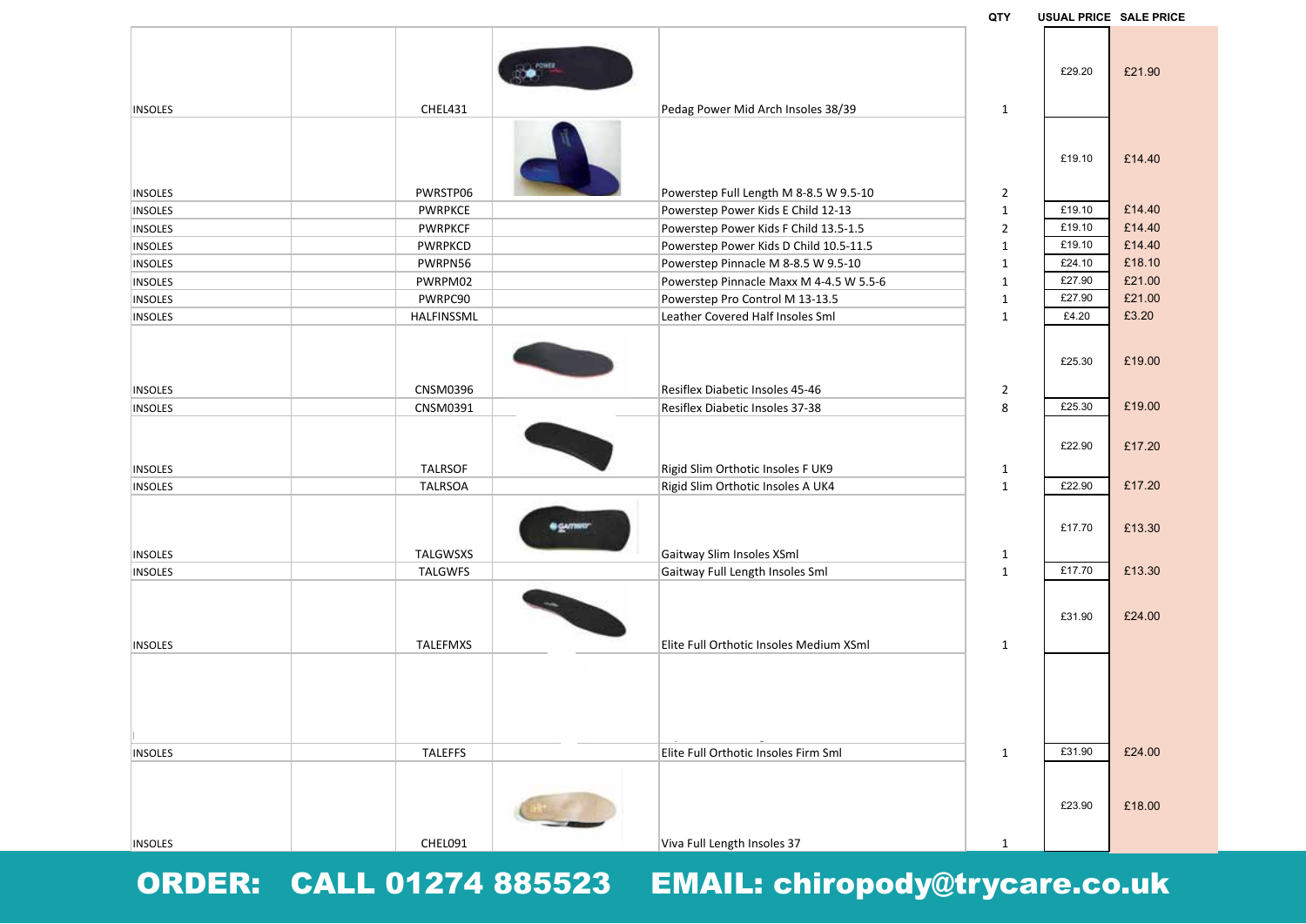|                |         | ORDER: CALL 01274 885523 EMAIL: chiropody@trycare.co.uk |  |  |
|----------------|---------|---------------------------------------------------------|--|--|
| <b>INSOLES</b> | CHEL091 | Viva Full Length Insoles 37                             |  |  |

| <b>INSOLES</b> | <b>PWRPKCF</b>  | Powerstep Power Kids F Child 13.5-1.5         | $\overline{2}$ | £19.10 | £14.40 |
|----------------|-----------------|-----------------------------------------------|----------------|--------|--------|
| <b>INSOLES</b> | <b>PWRPKCD</b>  | Powerstep Power Kids D Child 10.5-11.5        | $\mathbf{1}$   | £19.10 | £14.40 |
| <b>INSOLES</b> | PWRPN56         | Powerstep Pinnacle M 8-8.5 W 9.5-10           | $\mathbf{1}$   | £24.10 | £18.10 |
| <b>INSOLES</b> | PWRPM02         | Powerstep Pinnacle Maxx M 4-4.5 W 5.5-6       | $\mathbf{1}$   | £27.90 | £21.00 |
| <b>INSOLES</b> | PWRPC90         | Powerstep Pro Control M 13-13.5               | 1              | £27.90 | £21.00 |
| <b>INSOLES</b> | HALFINSSML      | Leather Covered Half Insoles Sml              | $\mathbf{1}$   | £4.20  | £3.20  |
| <b>INSOLES</b> | CNSM0396        | Resiflex Diabetic Insoles 45-46               | $\mathbf{2}$   | £25.30 | £19.00 |
| <b>INSOLES</b> | CNSM0391        | Resiflex Diabetic Insoles 37-38               | 8              | £25.30 | £19.00 |
| <b>INSOLES</b> | <b>TALRSOF</b>  | Rigid Slim Orthotic Insoles F UK9             | $\mathbf{1}$   | £22.90 | £17.20 |
| <b>INSOLES</b> | <b>TALRSOA</b>  | Rigid Slim Orthotic Insoles A UK4             | $\mathbf{1}$   | £22.90 | £17.20 |
| <b>INSOLES</b> | <b>TALGWSXS</b> | <b>B</b> GATTERY<br>Gaitway Slim Insoles XSml | $\mathbf{1}$   | £17.70 | £13.30 |
| <b>INSOLES</b> | <b>TALGWFS</b>  | Gaitway Full Length Insoles Sml               | $\mathbf{1}$   | £17.70 | £13.30 |
| <b>INSOLES</b> | TALEFMXS        | Elite Full Orthotic Insoles Medium XSml       | $\mathbf{1}$   | £31.90 | £24.00 |
| <b>INSOLES</b> | <b>TALEFFS</b>  | Elite Full Orthotic Insoles Firm Sml          | $\mathbf{1}$   | £31.90 | £24.00 |
|                |                 |                                               |                |        |        |
|                |                 |                                               |                | £23.90 | £18.00 |
| <b>INSOLES</b> | CHEL091         | Viva Full Length Insoles 37                   | $\mathbf{1}$   |        |        |
|                |                 |                                               |                |        |        |

INSOLES **Example 20 THE POWERFIGE POWER ASSESSED POWERS AND RES** POWER RIGHT POWER RIGHT AND RESPONSIVE POWER RIGHT AND RESPONSIVE POWER RIGHT AND RESPONSIVE POWER RIGHT AND RESPONSIVE POWER RIGHT AND RESPONSIVE POWER RIGH

INSOLES **CHEL431** CHEL431 **Pedag Power Mid Arch Insoles 38/39** 1

 $B = 1$ 

INSOLES **Example 2** PWRSTP06 PWRSTP06 Powerstep Full Length M 8-8.5 W 9.5-10 2

**QTY USUAL PRICE SALE PRICE**

£29.20 £21.90

£19.10 £14.40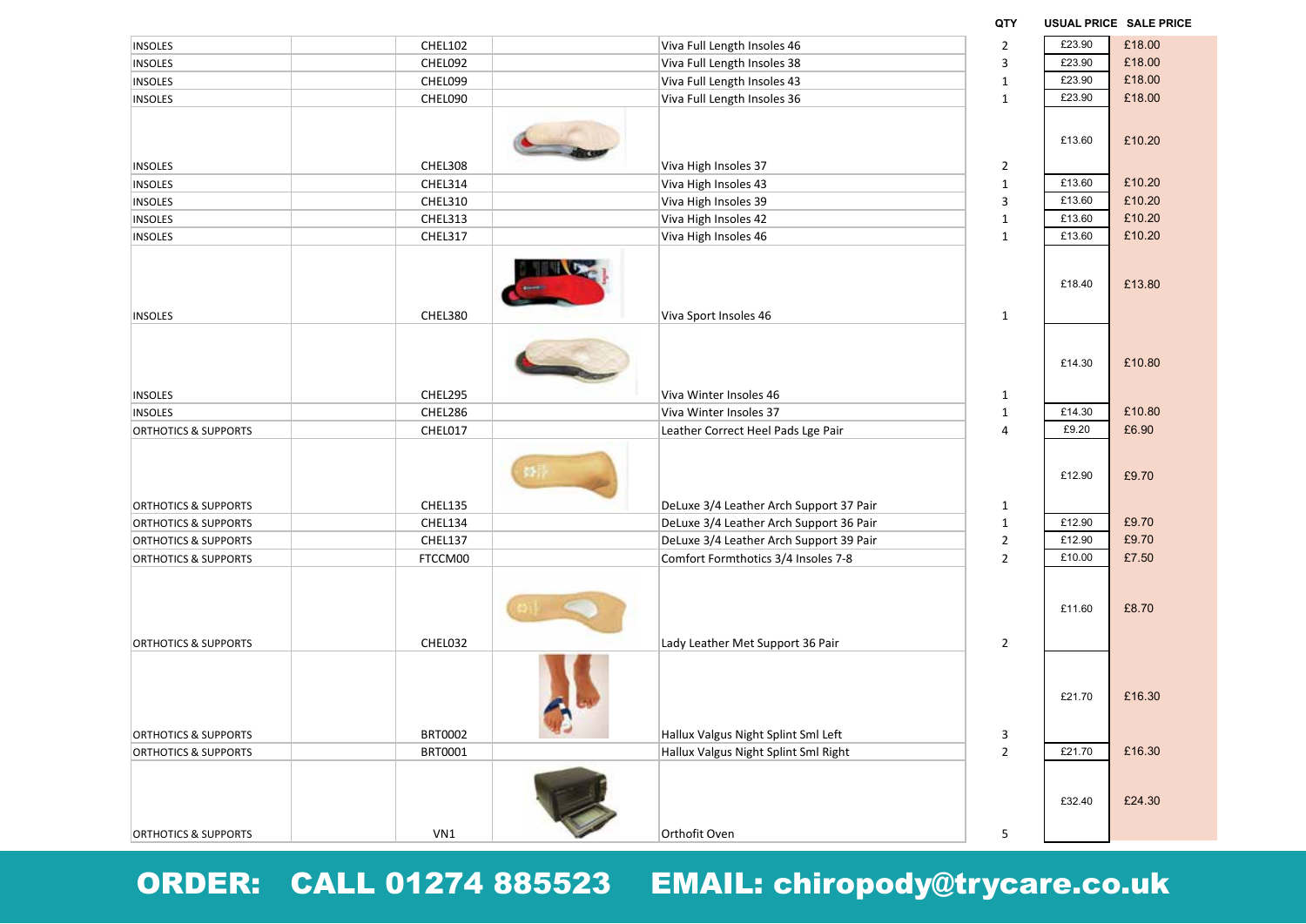| <b>INSOLES</b>                  | <b>CHEL102</b>     | Viva Full Length Insoles 46                                                        | $\overline{2}$               | £23.90 | £18.00 |
|---------------------------------|--------------------|------------------------------------------------------------------------------------|------------------------------|--------|--------|
| <b>INSOLES</b>                  | CHEL092            | Viva Full Length Insoles 38                                                        | 3                            | £23.90 | £18.00 |
| <b>INSOLES</b>                  | CHEL099            | Viva Full Length Insoles 43                                                        | $\mathbf 1$                  | £23.90 | £18.00 |
| <b>INSOLES</b>                  | CHEL090            | Viva Full Length Insoles 36                                                        | $\mathbf{1}$                 | £23.90 | £18.00 |
|                                 |                    |                                                                                    |                              |        |        |
|                                 |                    |                                                                                    |                              | £13.60 | £10.20 |
|                                 |                    |                                                                                    |                              |        |        |
| <b>INSOLES</b>                  | CHEL308            | Viva High Insoles 37                                                               | $\overline{2}$               |        |        |
| <b>INSOLES</b>                  | CHEL314            | Viva High Insoles 43                                                               | $\mathbf 1$                  | £13.60 | £10.20 |
| <b>INSOLES</b>                  | CHEL310            | Viva High Insoles 39                                                               | 3                            | £13.60 | £10.20 |
| <b>INSOLES</b>                  | CHEL313            | Viva High Insoles 42                                                               | $\mathbf 1$                  | £13.60 | £10.20 |
| <b>INSOLES</b>                  | CHEL317            | Viva High Insoles 46                                                               | $\mathbf{1}$                 | £13.60 | £10.20 |
|                                 |                    |                                                                                    |                              |        |        |
|                                 |                    |                                                                                    |                              | £18.40 | £13.80 |
|                                 |                    |                                                                                    |                              |        |        |
| <b>INSOLES</b>                  | CHEL380            | Viva Sport Insoles 46                                                              | $\mathbf{1}$                 |        |        |
|                                 |                    |                                                                                    |                              |        |        |
|                                 |                    |                                                                                    |                              |        |        |
|                                 |                    |                                                                                    |                              | £14.30 | £10.80 |
| <b>INSOLES</b>                  | CHEL295            | Viva Winter Insoles 46                                                             | $\mathbf{1}$                 |        |        |
| <b>INSOLES</b>                  | CHEL286            | Viva Winter Insoles 37                                                             | $\mathbf 1$                  | £14.30 | £10.80 |
| <b>ORTHOTICS &amp; SUPPORTS</b> | CHEL017            | Leather Correct Heel Pads Lge Pair                                                 | 4                            | £9.20  | £6.90  |
|                                 |                    |                                                                                    |                              |        |        |
|                                 |                    |                                                                                    |                              |        |        |
|                                 |                    |                                                                                    |                              | £12.90 | £9.70  |
|                                 |                    |                                                                                    |                              |        |        |
| <b>ORTHOTICS &amp; SUPPORTS</b> | CHEL135            | DeLuxe 3/4 Leather Arch Support 37 Pair                                            | $\mathbf{1}$<br>$\mathbf{1}$ | £12.90 | £9.70  |
| <b>ORTHOTICS &amp; SUPPORTS</b> | CHEL134<br>CHEL137 | DeLuxe 3/4 Leather Arch Support 36 Pair<br>DeLuxe 3/4 Leather Arch Support 39 Pair | $\overline{2}$               | £12.90 | £9.70  |
| <b>ORTHOTICS &amp; SUPPORTS</b> |                    |                                                                                    | $\overline{2}$               | £10.00 | £7.50  |
| <b>ORTHOTICS &amp; SUPPORTS</b> | FTCCM00            | Comfort Formthotics 3/4 Insoles 7-8                                                |                              |        |        |
|                                 |                    |                                                                                    |                              |        |        |
|                                 |                    |                                                                                    |                              | £11.60 | £8.70  |
|                                 |                    |                                                                                    |                              |        |        |
| <b>ORTHOTICS &amp; SUPPORTS</b> | CHEL032            | Lady Leather Met Support 36 Pair                                                   | $\overline{2}$               |        |        |
|                                 |                    |                                                                                    |                              |        |        |
|                                 |                    |                                                                                    |                              |        |        |
|                                 |                    |                                                                                    |                              | £21.70 | £16.30 |
|                                 |                    |                                                                                    |                              |        |        |
| <b>ORTHOTICS &amp; SUPPORTS</b> | <b>BRT0002</b>     | Hallux Valgus Night Splint Sml Left                                                | 3                            |        |        |
| <b>ORTHOTICS &amp; SUPPORTS</b> | BRT0001            | Hallux Valgus Night Splint Sml Right                                               | $\overline{2}$               | £21.70 | £16.30 |
|                                 |                    |                                                                                    |                              |        |        |
|                                 |                    |                                                                                    |                              |        |        |
|                                 |                    |                                                                                    |                              | £32.40 | £24.30 |
|                                 |                    |                                                                                    |                              |        |        |
| <b>ORTHOTICS &amp; SUPPORTS</b> | VN1                | Orthofit Oven                                                                      | 5                            |        |        |

**QTY USUAL PRICE SALE PRICE**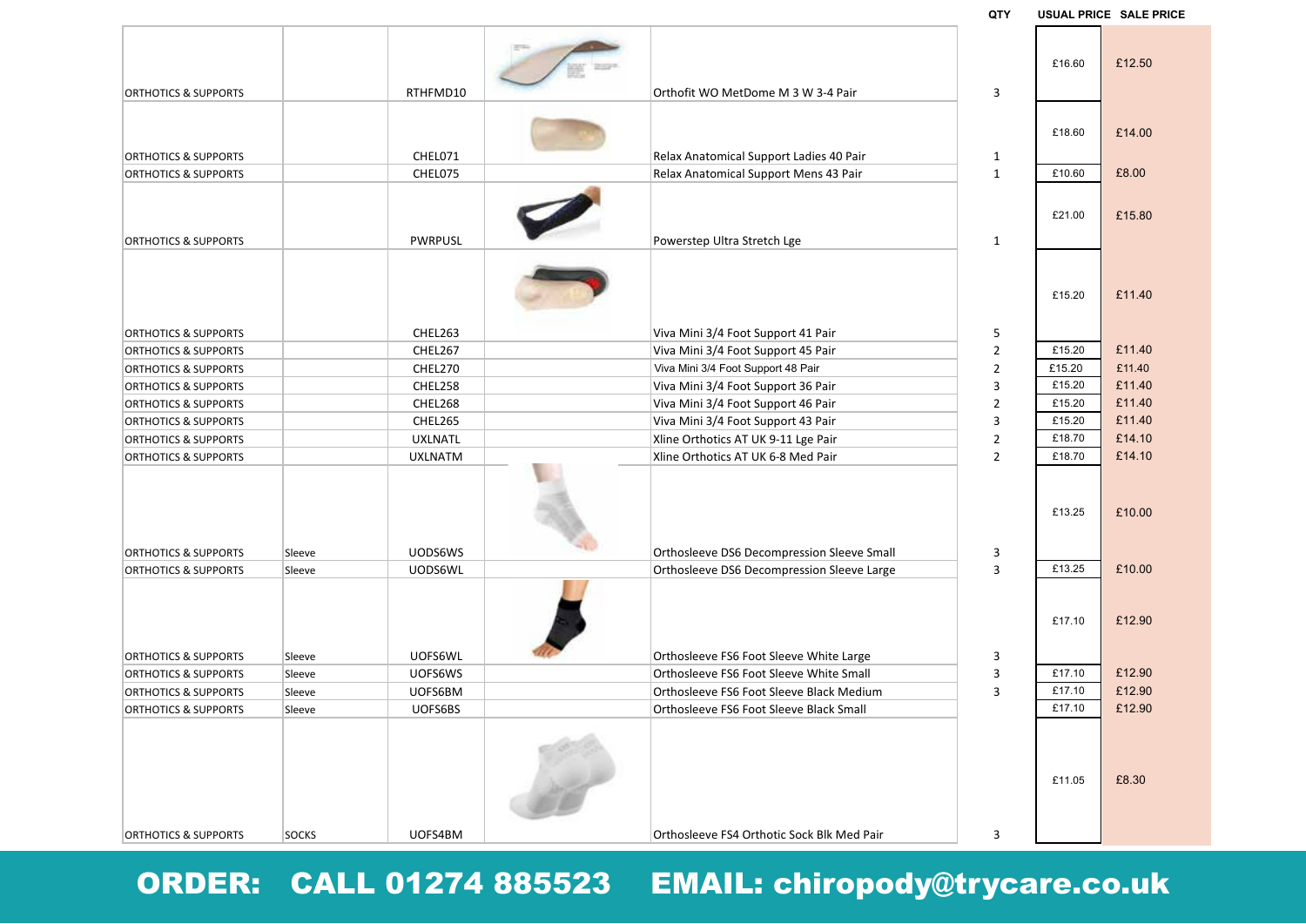|                                 |              |                |                                            | uli            |        | USUAL PRIUE SALE PRIUI |
|---------------------------------|--------------|----------------|--------------------------------------------|----------------|--------|------------------------|
|                                 |              |                |                                            |                | £16.60 | £12.50                 |
| <b>ORTHOTICS &amp; SUPPORTS</b> |              | RTHFMD10       | Orthofit WO MetDome M 3 W 3-4 Pair         | 3              |        |                        |
|                                 |              |                |                                            |                | £18.60 | £14.00                 |
| <b>ORTHOTICS &amp; SUPPORTS</b> |              | CHEL071        | Relax Anatomical Support Ladies 40 Pair    | $\mathbf{1}$   |        |                        |
| <b>ORTHOTICS &amp; SUPPORTS</b> |              | CHEL075        | Relax Anatomical Support Mens 43 Pair      | $\mathbf{1}$   | £10.60 | £8.00                  |
|                                 |              |                |                                            |                | £21.00 | £15.80                 |
| <b>ORTHOTICS &amp; SUPPORTS</b> |              | <b>PWRPUSL</b> | Powerstep Ultra Stretch Lge                | 1              |        |                        |
| <b>ORTHOTICS &amp; SUPPORTS</b> |              | CHEL263        | Viva Mini 3/4 Foot Support 41 Pair         | 5              | £15.20 | £11.40                 |
| <b>ORTHOTICS &amp; SUPPORTS</b> |              | CHEL267        | Viva Mini 3/4 Foot Support 45 Pair         | $\overline{2}$ | £15.20 | £11.40                 |
| <b>ORTHOTICS &amp; SUPPORTS</b> |              | CHEL270        | Viva Mini 3/4 Foot Support 48 Pair         | $\overline{2}$ | £15.20 | £11.40                 |
| <b>ORTHOTICS &amp; SUPPORTS</b> |              | CHEL258        | Viva Mini 3/4 Foot Support 36 Pair         | 3              | £15.20 | £11.40                 |
| <b>ORTHOTICS &amp; SUPPORTS</b> |              | CHEL268        | Viva Mini 3/4 Foot Support 46 Pair         | $\overline{2}$ | £15.20 | £11.40                 |
| <b>ORTHOTICS &amp; SUPPORTS</b> |              | CHEL265        | Viva Mini 3/4 Foot Support 43 Pair         | 3              | £15.20 | £11.40                 |
| <b>ORTHOTICS &amp; SUPPORTS</b> |              | <b>UXLNATL</b> | Xline Orthotics AT UK 9-11 Lge Pair        | $\overline{2}$ | £18.70 | £14.10                 |
| <b>ORTHOTICS &amp; SUPPORTS</b> |              | <b>UXLNATM</b> | Xline Orthotics AT UK 6-8 Med Pair         | $\overline{2}$ | £18.70 | £14.10                 |
| <b>ORTHOTICS &amp; SUPPORTS</b> | Sleeve       | <b>UODS6WS</b> | Orthosleeve DS6 Decompression Sleeve Small | 3              | £13.25 | £10.00                 |
| <b>ORTHOTICS &amp; SUPPORTS</b> | Sleeve       | UODS6WL        | Orthosleeve DS6 Decompression Sleeve Large | 3              | £13.25 | £10.00                 |
|                                 |              |                |                                            |                | £17.10 | £12.90                 |
| <b>ORTHOTICS &amp; SUPPORTS</b> | Sleeve       | UOFS6WL        | Orthosleeve FS6 Foot Sleeve White Large    | 3              |        |                        |
| <b>ORTHOTICS &amp; SUPPORTS</b> | Sleeve       | UOFS6WS        | Orthosleeve FS6 Foot Sleeve White Small    | 3              | £17.10 | £12.90                 |
| <b>ORTHOTICS &amp; SUPPORTS</b> | Sleeve       | UOFS6BM        | Orthosleeve FS6 Foot Sleeve Black Medium   | 3              | £17.10 | £12.90                 |
| <b>ORTHOTICS &amp; SUPPORTS</b> | Sleeve       | UOFS6BS        | Orthosleeve FS6 Foot Sleeve Black Small    |                | £17.10 | £12.90                 |
|                                 |              |                |                                            |                | £11.05 | £8.30                  |
| <b>ORTHOTICS &amp; SUPPORTS</b> | <b>SOCKS</b> | UOFS4BM        | Orthosleeve FS4 Orthotic Sock Blk Med Pair | 3              |        |                        |

**QTY USUAL PRICE SALE PRICE**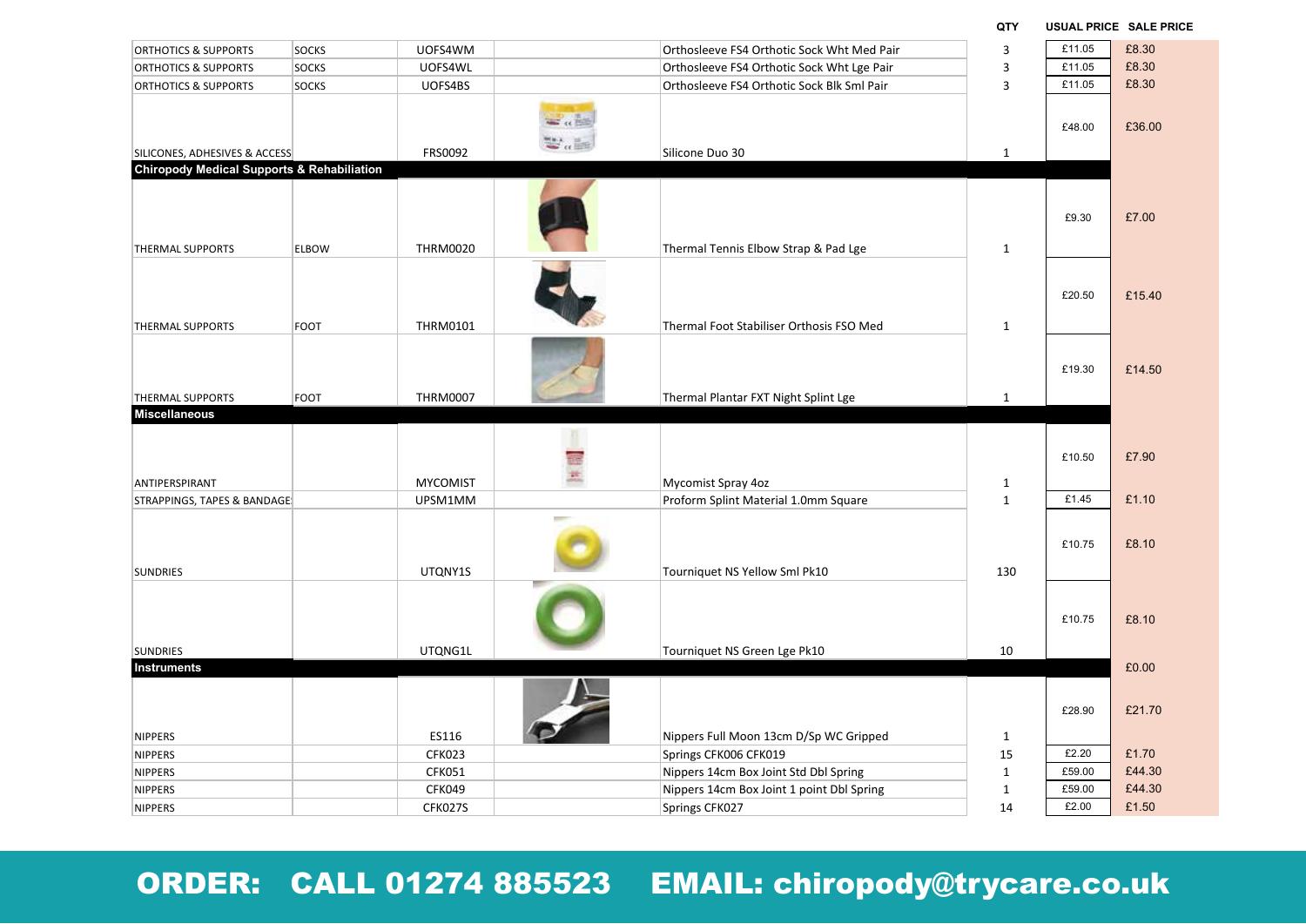| <b>ORTHOTICS &amp; SUPPORTS</b>                       | <b>SOCKS</b> | UOFS4WM         | Orthosleeve FS4 Orthotic Sock Wht Med Pair | 3            | £11.05 | £8.30  |
|-------------------------------------------------------|--------------|-----------------|--------------------------------------------|--------------|--------|--------|
| <b>ORTHOTICS &amp; SUPPORTS</b>                       | <b>SOCKS</b> | UOFS4WL         | Orthosleeve FS4 Orthotic Sock Wht Lge Pair | 3            | £11.05 | £8.30  |
| <b>ORTHOTICS &amp; SUPPORTS</b>                       | SOCKS        | UOFS4BS         | Orthosleeve FS4 Orthotic Sock Blk Sml Pair | 3            | £11.05 | £8.30  |
| SILICONES, ADHESIVES & ACCESS                         |              | FRS0092         | Silicone Duo 30                            | 1            | £48.00 | £36.00 |
| <b>Chiropody Medical Supports &amp; Rehabiliation</b> |              |                 |                                            |              |        |        |
| THERMAL SUPPORTS                                      | <b>ELBOW</b> | <b>THRM0020</b> | Thermal Tennis Elbow Strap & Pad Lge       | $\mathbf{1}$ | £9.30  | £7.00  |
| <b>THERMAL SUPPORTS</b>                               | <b>FOOT</b>  | THRM0101        | Thermal Foot Stabiliser Orthosis FSO Med   | $\mathbf{1}$ | £20.50 | £15.40 |
|                                                       |              |                 |                                            |              |        |        |
| <b>THERMAL SUPPORTS</b>                               | <b>FOOT</b>  | <b>THRM0007</b> | Thermal Plantar FXT Night Splint Lge       | $\mathbf{1}$ | £19.30 | £14.50 |
| <b>Miscellaneous</b>                                  |              |                 |                                            |              |        |        |
|                                                       |              |                 |                                            |              |        |        |
|                                                       |              | <b>MYCOMIST</b> |                                            |              | £10.50 | £7.90  |
| ANTIPERSPIRANT                                        |              |                 | Mycomist Spray 4oz                         | $\mathbf{1}$ | £1.45  | £1.10  |
| STRAPPINGS, TAPES & BANDAGE:                          |              | UPSM1MM         | Proform Splint Material 1.0mm Square       | $\mathbf{1}$ |        |        |
| <b>SUNDRIES</b>                                       |              | UTQNY1S         | Tourniquet NS Yellow Sml Pk10              | 130          | £10.75 | £8.10  |
|                                                       |              |                 |                                            |              | £10.75 | £8.10  |
| <b>SUNDRIES</b>                                       |              | UTQNG1L         | Tourniquet NS Green Lge Pk10               | 10           |        |        |
| Instruments                                           |              |                 |                                            |              |        | £0.00  |
|                                                       |              |                 |                                            |              | £28.90 | £21.70 |
| <b>NIPPERS</b>                                        |              | ES116           | Nippers Full Moon 13cm D/Sp WC Gripped     | 1            |        |        |
| <b>NIPPERS</b>                                        |              | <b>CFK023</b>   | Springs CFK006 CFK019                      | 15           | £2.20  | £1.70  |
| <b>NIPPERS</b>                                        |              | CFK051          | Nippers 14cm Box Joint Std Dbl Spring      | $\mathbf{1}$ | £59.00 | £44.30 |
| NIPPERS                                               |              | <b>CFK049</b>   | Nippers 14cm Box Joint 1 point Dbl Spring  | $\mathbf{1}$ | £59.00 | £44.30 |
| <b>NIPPERS</b>                                        |              | CFK027S         | Springs CFK027                             | 14           | £2.00  | £1.50  |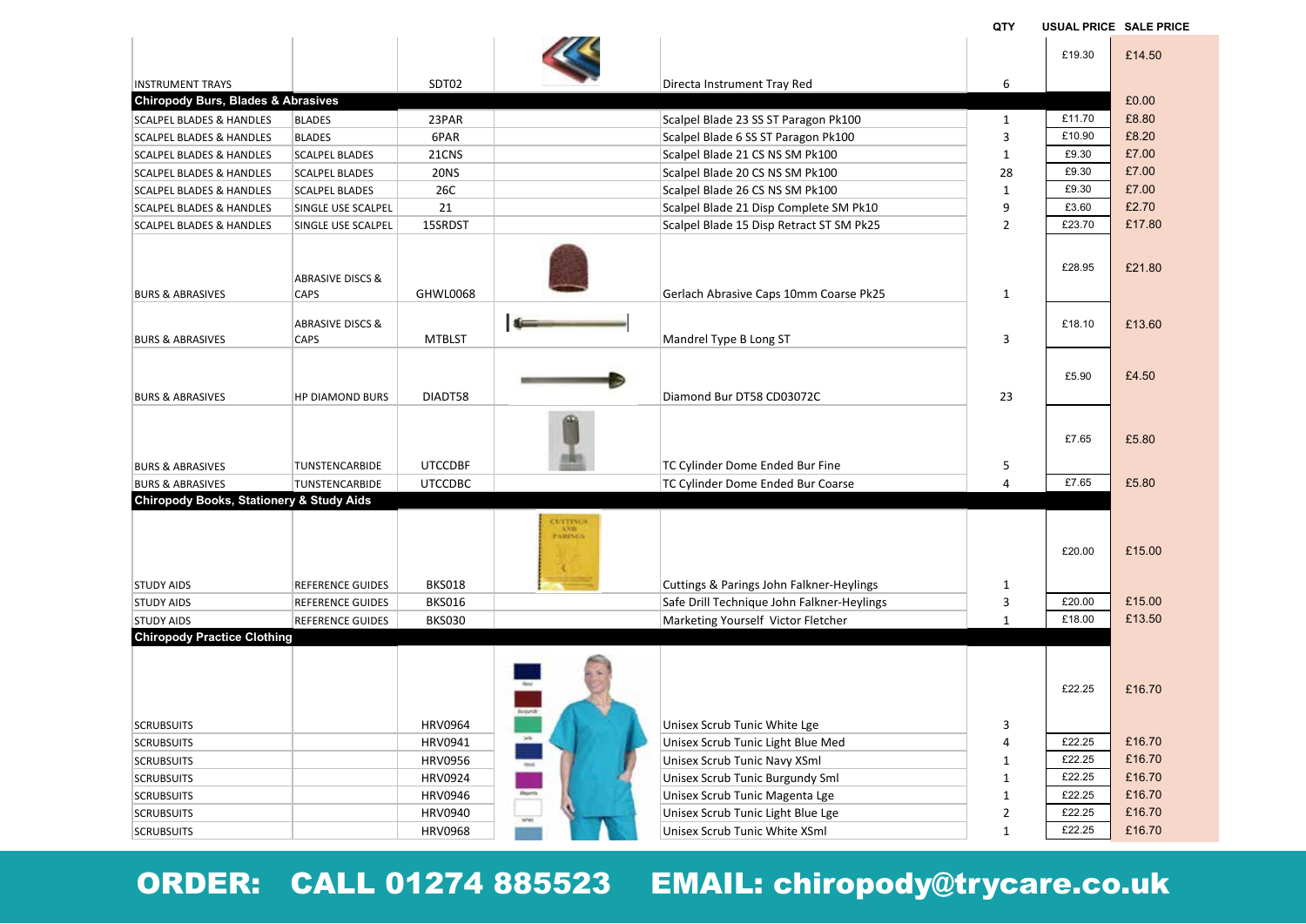**QTY USUAL PRICE SALE PRICE**

|                                                                          |                             |                |                     |                                            |                | £19.30 | £14.50 |
|--------------------------------------------------------------------------|-----------------------------|----------------|---------------------|--------------------------------------------|----------------|--------|--------|
|                                                                          |                             |                |                     |                                            | 6              |        |        |
| <b>INSTRUMENT TRAYS</b><br><b>Chiropody Burs, Blades &amp; Abrasives</b> |                             | SDT02          |                     | Directa Instrument Tray Red                |                |        | £0.00  |
| <b>SCALPEL BLADES &amp; HANDLES</b>                                      | <b>BLADES</b>               | 23PAR          |                     | Scalpel Blade 23 SS ST Paragon Pk100       | $\mathbf{1}$   | £11.70 | £8.80  |
| <b>SCALPEL BLADES &amp; HANDLES</b>                                      | <b>BLADES</b>               | 6PAR           |                     | Scalpel Blade 6 SS ST Paragon Pk100        | $\overline{3}$ | £10.90 | £8.20  |
| <b>SCALPEL BLADES &amp; HANDLES</b>                                      | <b>SCALPEL BLADES</b>       | 21CNS          |                     | Scalpel Blade 21 CS NS SM Pk100            | $\mathbf{1}$   | £9.30  | £7.00  |
| <b>SCALPEL BLADES &amp; HANDLES</b>                                      | <b>SCALPEL BLADES</b>       | <b>20NS</b>    |                     | Scalpel Blade 20 CS NS SM Pk100            | 28             | £9.30  | £7.00  |
|                                                                          | <b>SCALPEL BLADES</b>       | 26C            |                     |                                            | $\mathbf{1}$   | £9.30  | £7.00  |
| <b>SCALPEL BLADES &amp; HANDLES</b>                                      |                             | 21             |                     | Scalpel Blade 26 CS NS SM Pk100            | 9              | £3.60  | £2.70  |
| <b>SCALPEL BLADES &amp; HANDLES</b>                                      | SINGLE USE SCALPEL          | 15SRDST        |                     | Scalpel Blade 21 Disp Complete SM Pk10     | $\overline{2}$ | £23.70 | £17.80 |
| <b>SCALPEL BLADES &amp; HANDLES</b>                                      | SINGLE USE SCALPEL          |                |                     | Scalpel Blade 15 Disp Retract ST SM Pk25   |                |        |        |
|                                                                          |                             |                |                     |                                            |                |        |        |
|                                                                          | <b>ABRASIVE DISCS &amp;</b> |                |                     |                                            |                | £28.95 | £21.80 |
| <b>BURS &amp; ABRASIVES</b>                                              | CAPS                        | GHWL0068       |                     | Gerlach Abrasive Caps 10mm Coarse Pk25     | $\mathbf{1}$   |        |        |
|                                                                          |                             |                |                     |                                            |                |        |        |
|                                                                          | <b>ABRASIVE DISCS &amp;</b> |                | S-                  |                                            |                | £18.10 | £13.60 |
| <b>BURS &amp; ABRASIVES</b>                                              | CAPS                        | <b>MTBLST</b>  |                     | Mandrel Type B Long ST                     | 3              |        |        |
|                                                                          |                             |                |                     |                                            |                |        |        |
|                                                                          |                             |                |                     |                                            |                | £5.90  | £4.50  |
| <b>BURS &amp; ABRASIVES</b>                                              | <b>HP DIAMOND BURS</b>      | DIADT58        |                     | Diamond Bur DT58 CD03072C                  | 23             |        |        |
|                                                                          |                             |                |                     |                                            |                |        |        |
|                                                                          |                             |                |                     |                                            |                |        |        |
|                                                                          |                             |                |                     |                                            |                | £7.65  | £5.80  |
| <b>BURS &amp; ABRASIVES</b>                                              | TUNSTENCARBIDE              | <b>UTCCDBF</b> |                     | TC Cylinder Dome Ended Bur Fine            | 5              |        |        |
| <b>BURS &amp; ABRASIVES</b>                                              | <b>TUNSTENCARBIDE</b>       | <b>UTCCDBC</b> |                     | TC Cylinder Dome Ended Bur Coarse          | 4              | £7.65  | £5.80  |
| <b>Chiropody Books, Stationery &amp; Study Aids</b>                      |                             |                |                     |                                            |                |        |        |
|                                                                          |                             |                |                     |                                            |                |        |        |
|                                                                          |                             |                | CUTTINGS<br>PARINGS |                                            |                |        |        |
|                                                                          |                             |                |                     |                                            |                | £20.00 | £15.00 |
|                                                                          |                             |                |                     |                                            |                |        |        |
| <b>STUDY AIDS</b>                                                        | <b>REFERENCE GUIDES</b>     | <b>BKS018</b>  |                     | Cuttings & Parings John Falkner-Heylings   | $\mathbf{1}$   |        |        |
| <b>STUDY AIDS</b>                                                        | <b>REFERENCE GUIDES</b>     | <b>BKS016</b>  |                     | Safe Drill Technique John Falkner-Heylings | 3              | £20.00 | £15.00 |
| <b>STUDY AIDS</b>                                                        | REFERENCE GUIDES            | <b>BKS030</b>  |                     | Marketing Yourself Victor Fletcher         | $\mathbf{1}$   | £18.00 | £13.50 |
| <b>Chiropody Practice Clothing</b>                                       |                             |                |                     |                                            |                |        |        |
|                                                                          |                             |                |                     |                                            |                |        |        |
|                                                                          |                             |                |                     |                                            |                |        |        |
|                                                                          |                             |                |                     |                                            |                | £22.25 | £16.70 |
|                                                                          |                             |                |                     |                                            |                |        |        |
| <b>SCRUBSUITS</b>                                                        |                             | <b>HRV0964</b> |                     | Unisex Scrub Tunic White Lge               | 3              |        |        |
| <b>SCRUBSUITS</b>                                                        |                             | HRV0941        |                     | Unisex Scrub Tunic Light Blue Med          | 4              | £22.25 | £16.70 |
| <b>SCRUBSUITS</b>                                                        |                             | <b>HRV0956</b> |                     | Unisex Scrub Tunic Navy XSml               | $\mathbf{1}$   | £22.25 | £16.70 |
| <b>SCRUBSUITS</b>                                                        |                             | <b>HRV0924</b> |                     | Unisex Scrub Tunic Burgundy Sml            | $\mathbf{1}$   | £22.25 | £16.70 |
| <b>SCRUBSUITS</b>                                                        |                             | <b>HRV0946</b> |                     | Unisex Scrub Tunic Magenta Lge             | $\mathbf{1}$   | £22.25 | £16.70 |
| <b>SCRUBSUITS</b>                                                        |                             | <b>HRV0940</b> |                     | Unisex Scrub Tunic Light Blue Lge          | $\overline{2}$ | £22.25 | £16.70 |
| <b>SCRUBSUITS</b>                                                        |                             | <b>HRV0968</b> |                     | Unisex Scrub Tunic White XSml              | $\mathbf{1}$   | £22.25 | £16.70 |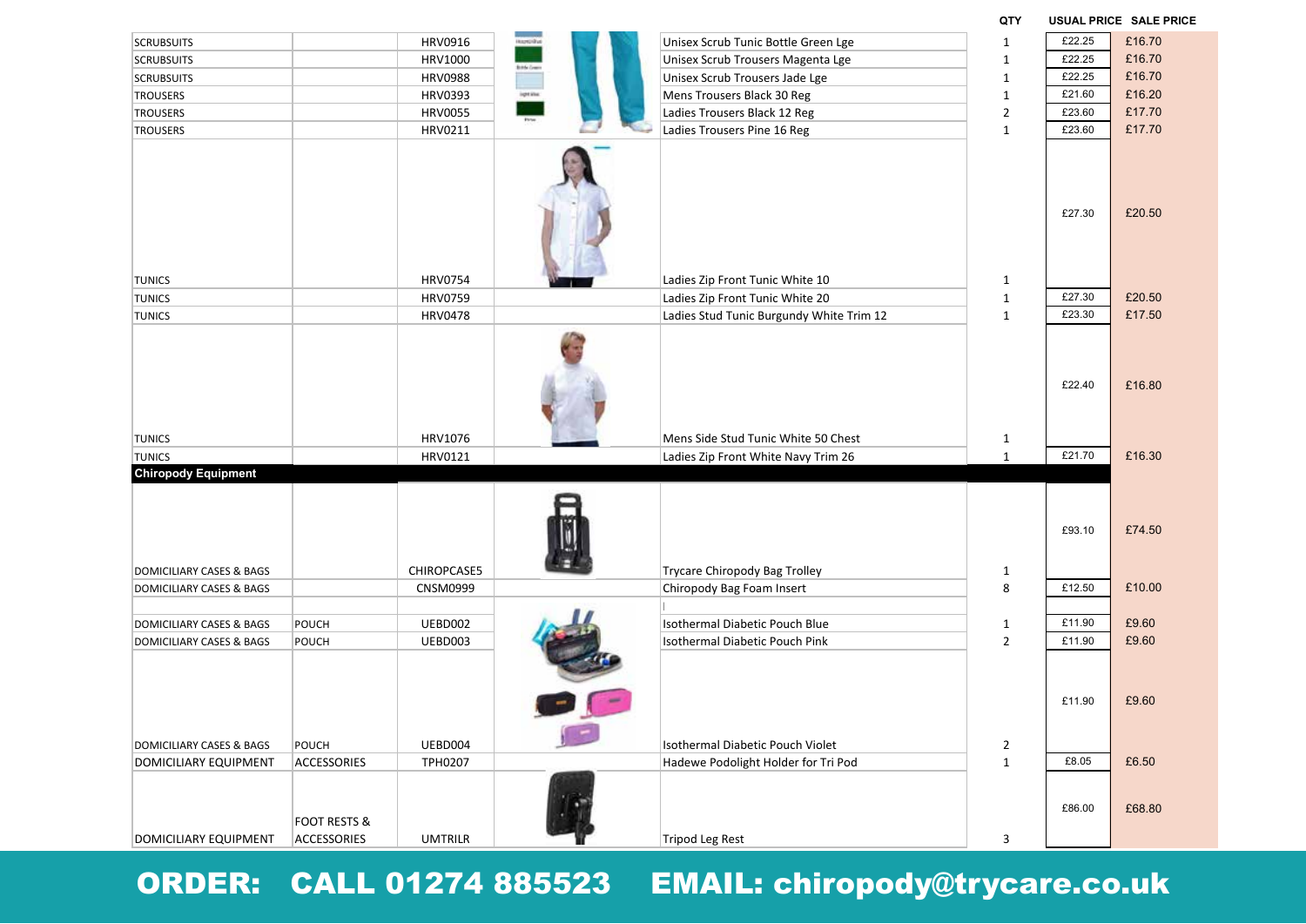| <b>SCRUBSUITS</b>            |                                        | HRV0916         | <b>BOOK</b>        | Unisex Scrub Tunic Bottle Green Lge      | $\mathbf{1}$   | £22.25           | £16.70           |
|------------------------------|----------------------------------------|-----------------|--------------------|------------------------------------------|----------------|------------------|------------------|
| <b>SCRUBSUITS</b>            |                                        | HRV1000         |                    | Unisex Scrub Trousers Magenta Lge        | $\mathbf{1}$   | £22.25           | £16.70           |
| <b>SCRUBSUITS</b>            |                                        | <b>HRV0988</b>  | <b>Birds Green</b> | Unisex Scrub Trousers Jade Lge           | $\mathbf{1}$   | £22.25           | £16.70           |
| <b>TROUSERS</b>              |                                        | <b>HRV0393</b>  | igetine            | Mens Trousers Black 30 Reg               | $\mathbf{1}$   | £21.60           | £16.20           |
| <b>TROUSERS</b>              |                                        | <b>HRV0055</b>  |                    | Ladies Trousers Black 12 Reg             | $\overline{2}$ | £23.60           | £17.70           |
| <b>TROUSERS</b>              |                                        | HRV0211         |                    | Ladies Trousers Pine 16 Reg              | $\mathbf{1}$   | £23.60           | £17.70           |
|                              |                                        |                 |                    |                                          |                | £27.30           | £20.50           |
| <b>TUNICS</b>                |                                        | <b>HRV0754</b>  |                    | Ladies Zip Front Tunic White 10          | $\mathbf{1}$   |                  | £20.50           |
| <b>TUNICS</b>                |                                        | <b>HRV0759</b>  |                    | Ladies Zip Front Tunic White 20          | $\mathbf 1$    | £27.30           |                  |
| <b>TUNICS</b>                |                                        | <b>HRV0478</b>  |                    | Ladies Stud Tunic Burgundy White Trim 12 | $\mathbf{1}$   | £23.30<br>£22.40 | £17.50<br>£16.80 |
| <b>TUNICS</b>                |                                        | HRV1076         |                    | Mens Side Stud Tunic White 50 Chest      | $\mathbf{1}$   |                  |                  |
| <b>TUNICS</b>                |                                        | HRV0121         |                    | Ladies Zip Front White Navy Trim 26      | $\mathbf{1}$   | £21.70           | £16.30           |
| <b>Chiropody Equipment</b>   |                                        |                 |                    |                                          |                | £93.10           | £74.50           |
| DOMICILIARY CASES & BAGS     |                                        | CHIROPCASE5     |                    | Trycare Chiropody Bag Trolley            | $\mathbf{1}$   |                  |                  |
| DOMICILIARY CASES & BAGS     |                                        | <b>CNSM0999</b> |                    | Chiropody Bag Foam Insert                | 8              | £12.50           | £10.00           |
| DOMICILIARY CASES & BAGS     | POUCH                                  | UEBD002         |                    | Isothermal Diabetic Pouch Blue           | $\mathbf{1}$   | £11.90           | £9.60            |
| DOMICILIARY CASES & BAGS     | POUCH                                  | UEBD003         |                    | Isothermal Diabetic Pouch Pink           | $\overline{2}$ | £11.90           | £9.60            |
|                              |                                        |                 |                    |                                          |                | £11.90           | £9.60            |
| DOMICILIARY CASES & BAGS     | POUCH                                  | UEBD004         |                    | Isothermal Diabetic Pouch Violet         | $\overline{2}$ |                  |                  |
| <b>DOMICILIARY EQUIPMENT</b> | ACCESSORIES                            | TPH0207         |                    | Hadewe Podolight Holder for Tri Pod      | $\mathbf 1$    | £8.05            | £6.50            |
| DOMICILIARY EQUIPMENT        | <b>FOOT RESTS &amp;</b><br>ACCESSORIES | <b>UMTRILR</b>  |                    | Tripod Leg Rest                          | 3              | £86.00           | £68.80           |

**QTY USUAL PRICE SALE PRICE**